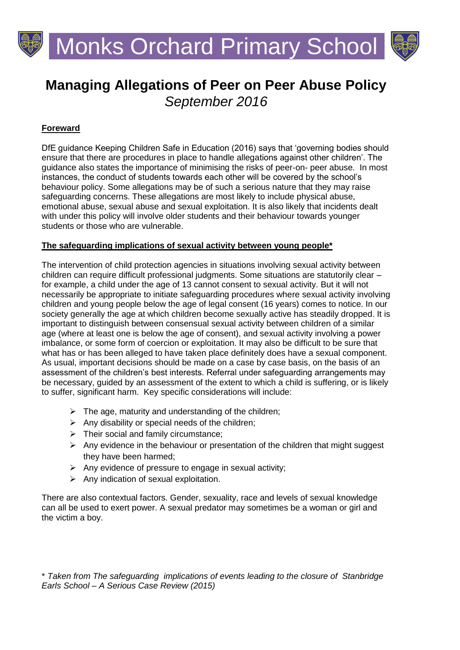

# **Managing Allegations of Peer on Peer Abuse Policy** *September 2016*

# **Foreward**

DfE guidance Keeping Children Safe in Education (2016) says that 'governing bodies should ensure that there are procedures in place to handle allegations against other children'. The guidance also states the importance of minimising the risks of peer-on- peer abuse. In most instances, the conduct of students towards each other will be covered by the school's behaviour policy. Some allegations may be of such a serious nature that they may raise safeguarding concerns. These allegations are most likely to include physical abuse, emotional abuse, sexual abuse and sexual exploitation. It is also likely that incidents dealt with under this policy will involve older students and their behaviour towards younger students or those who are vulnerable.

#### **The safeguarding implications of sexual activity between young people\***

The intervention of child protection agencies in situations involving sexual activity between children can require difficult professional judgments. Some situations are statutorily clear – for example, a child under the age of 13 cannot consent to sexual activity. But it will not necessarily be appropriate to initiate safeguarding procedures where sexual activity involving children and young people below the age of legal consent (16 years) comes to notice. In our society generally the age at which children become sexually active has steadily dropped. It is important to distinguish between consensual sexual activity between children of a similar age (where at least one is below the age of consent), and sexual activity involving a power imbalance, or some form of coercion or exploitation. It may also be difficult to be sure that what has or has been alleged to have taken place definitely does have a sexual component. As usual, important decisions should be made on a case by case basis, on the basis of an assessment of the children's best interests. Referral under safeguarding arrangements may be necessary, guided by an assessment of the extent to which a child is suffering, or is likely to suffer, significant harm. Key specific considerations will include:

- $\triangleright$  The age, maturity and understanding of the children;
- $\triangleright$  Any disability or special needs of the children;
- $\triangleright$  Their social and family circumstance;
- $\triangleright$  Any evidence in the behaviour or presentation of the children that might suggest they have been harmed;
- $\triangleright$  Any evidence of pressure to engage in sexual activity;
- $\triangleright$  Any indication of sexual exploitation.

There are also contextual factors. Gender, sexuality, race and levels of sexual knowledge can all be used to exert power. A sexual predator may sometimes be a woman or girl and the victim a boy.

\* *Taken from The safeguarding implications of events leading to the closure of Stanbridge Earls School – A Serious Case Review (2015)*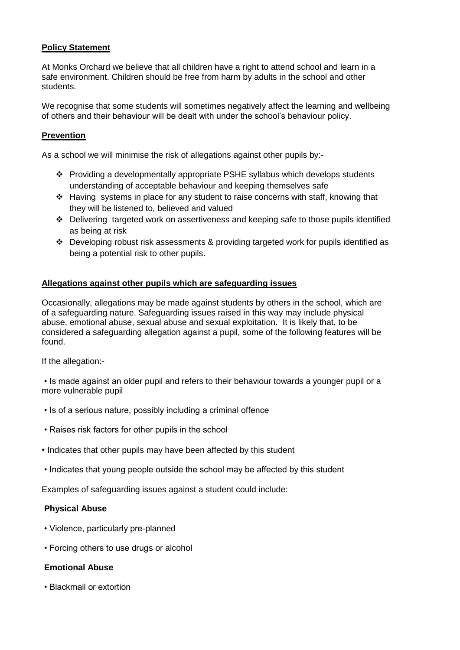## **Policy Statement**

At Monks Orchard we believe that all children have a right to attend school and learn in a safe environment. Children should be free from harm by adults in the school and other students.

We recognise that some students will sometimes negatively affect the learning and wellbeing of others and their behaviour will be dealt with under the school's behaviour policy.

#### **Prevention**

As a school we will minimise the risk of allegations against other pupils by:-

- Providing a developmentally appropriate PSHE syllabus which develops students understanding of acceptable behaviour and keeping themselves safe
- Having systems in place for any student to raise concerns with staff, knowing that they will be listened to, believed and valued
- $\div$  Delivering targeted work on assertiveness and keeping safe to those pupils identified as being at risk
- $\cdot \cdot$  Developing robust risk assessments & providing targeted work for pupils identified as being a potential risk to other pupils.

#### **Allegations against other pupils which are safeguarding issues**

Occasionally, allegations may be made against students by others in the school, which are of a safeguarding nature. Safeguarding issues raised in this way may include physical abuse, emotional abuse, sexual abuse and sexual exploitation. It is likely that, to be considered a safeguarding allegation against a pupil, some of the following features will be found.

If the allegation:-

• Is made against an older pupil and refers to their behaviour towards a younger pupil or a more vulnerable pupil

- Is of a serious nature, possibly including a criminal offence
- Raises risk factors for other pupils in the school
- Indicates that other pupils may have been affected by this student
- Indicates that young people outside the school may be affected by this student

Examples of safeguarding issues against a student could include:

#### **Physical Abuse**

- Violence, particularly pre-planned
- Forcing others to use drugs or alcohol

#### **Emotional Abuse**

• Blackmail or extortion